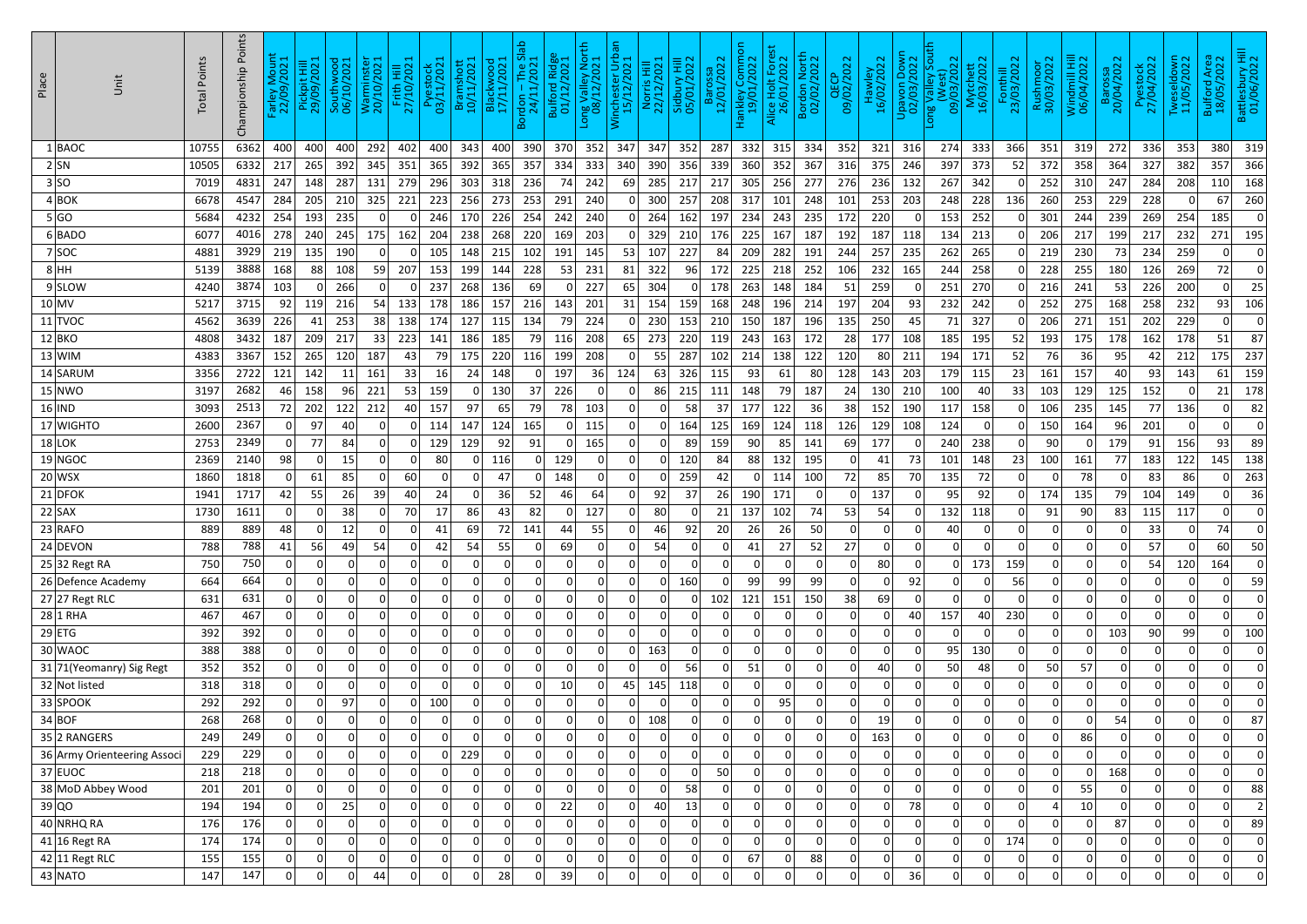| Place<br>Unit               | <b>Total Points</b> | Points<br>Championship | $\frac{1}{2}$<br>$\circ$<br>)<br>၁၉<br>$\frac{1}{2}$ | t Hill<br>2021<br>Pickpi<br>29/09/ | wood<br>/2021<br>Southw<br>06/10/ | Warminster<br>20/10/2021 | Frith Hill<br>27/10/2021 | Pyestock<br>03/11/2021 | Bramshott<br>10/11/2021 | νοο <b>ι</b><br>/202<br>$B$ acl | <u>န</u><br>$\overline{M}$<br>$\frac{7}{2}$<br>/tr/kc<br>/11/12<br>$\infty$ | Ridge<br>9021<br>Bulford<br>01/12/ | 즆<br>$\circ$<br>خ s<br>ong Valley<br>08/12/20 | er Urt<br>/2021<br>incheste<br>15/12/ | 2021<br>NUTRIS<br>22/12/ | 202<br>$\overline{10}$<br>Sidbur<br>05/01, | 202<br><u>ក្ខ</u><br>Ba<br>$\mathbf{\tilde{\sim}}$ | o<br>.omm<br>2022<br>lankley C<br>19/01/ | /2022<br>O<br>lice Holt<br>26/01/ | <b>North</b><br>/2022<br>Bordon<br>02/02/ | /2022<br><b>QEC</b><br>09/02/ | $rac{1}{2022}$<br>Haw<br>16/02/ | Down<br>2022<br>Upavon<br>02/03/ | ä<br>$\sim$<br>202<br>3<br>$\overline{\sigma}$<br>ng V<br>$\overline{50}$ | $\sim$<br>hett<br>202<br>Mytch<br>16/03/ | Fonthill<br>23/03/2022 | Rushmoor<br>30/03/2022 | Windmill Hill<br>06/04/2022 | 20<br>Baro:<br>20/04/ | $\sim$<br>8<br>O<br>$\overline{\mathsf{N}}$<br>Pyest<br>27/04/ | own<br>022<br>$\bar{\mathsf{N}}$<br>흐<br>Twesel<br>11/05/ | I Area<br>2022<br>Bulford<br>18/05/ | sattlesbury Hil<br>01/06/2022 |
|-----------------------------|---------------------|------------------------|------------------------------------------------------|------------------------------------|-----------------------------------|--------------------------|--------------------------|------------------------|-------------------------|---------------------------------|-----------------------------------------------------------------------------|------------------------------------|-----------------------------------------------|---------------------------------------|--------------------------|--------------------------------------------|----------------------------------------------------|------------------------------------------|-----------------------------------|-------------------------------------------|-------------------------------|---------------------------------|----------------------------------|---------------------------------------------------------------------------|------------------------------------------|------------------------|------------------------|-----------------------------|-----------------------|----------------------------------------------------------------|-----------------------------------------------------------|-------------------------------------|-------------------------------|
| BAOC                        | 10755               | 6362                   | 400                                                  | 400                                | 400                               | 292                      | 402                      | 400                    | 343                     | 400                             | 390                                                                         | 370                                | 352                                           | 347                                   | 347                      | 352                                        | 287                                                | 332                                      | 315                               | 334                                       | 352                           | 321                             | 316                              | 274                                                                       | 333                                      | 366                    | 351                    | 319                         | 272                   | 336                                                            | 353                                                       | 380                                 | 319                           |
| 2 SN                        | 10505               | 6332                   | 217                                                  | 265                                | 392                               | 345                      | 351                      | 365                    | 392                     | 365                             | 357                                                                         | 334                                | 333                                           | 340                                   | 390                      | 356                                        | 339                                                | 360                                      | 352                               | 367                                       | 316                           | 375                             | 246                              | 397                                                                       | 373                                      | 52                     | 372                    | 358                         | 364                   | 327                                                            | 382                                                       | 357                                 | 366                           |
| 3 SO                        | 7019                | 4831                   | 247                                                  | 148                                | 287                               | 131                      | 279                      | 296                    | 303                     | 318                             | 236                                                                         | 74                                 | 242                                           | 69                                    | 285                      | 217                                        | 217                                                | 305                                      | 256                               | 277                                       | 276                           | 236                             | 132                              | 267                                                                       | 342                                      |                        | 252                    | 310                         | 247                   | 284                                                            | 208                                                       | 110                                 | 168                           |
| 4 BOK                       | 6678                | 4547                   | 284                                                  | 205                                | 210                               | 325                      | 221                      | 223                    | 256                     | 273                             | 253                                                                         | 291                                | 240                                           |                                       | 300                      | 257                                        | 208                                                | 317                                      | 101                               | 248                                       | 101                           | 253                             | 203                              | 248                                                                       | 228                                      | 136                    | 260                    | 253                         | 229                   | 228                                                            | 0                                                         | 67                                  | 260                           |
| 5 GO                        | 5684                | 4232                   | 254                                                  | 193                                | 235                               | 0                        | $\Omega$                 | <b>246</b>             | 170                     | 226                             | 254                                                                         | 242                                | 240                                           | 0 <sup>1</sup>                        | 264                      | 162                                        | 197                                                | 234                                      | 243                               | 235                                       | 172                           | 220                             |                                  | 153                                                                       | 252                                      |                        | 301                    | 244                         | 239                   | 269                                                            | 254                                                       | 185                                 | 0                             |
| $6 $ BADO                   | 6077                | 4016                   | 278                                                  | 240                                | 245                               | 175                      | 162                      | 204                    | 238                     | 268                             | 220                                                                         | 169                                | 203                                           |                                       | 329                      | 210                                        | 176                                                | 225                                      | 167                               | 187                                       | 192                           | 187                             | 118                              | 134                                                                       | 213                                      |                        | 206                    | 217                         | 199                   | 217                                                            | 232                                                       | 271                                 | 195                           |
| 7 SOC                       | 4881                | 3929                   | 219                                                  | 135                                | 190                               | 0                        |                          | 105                    | 148                     | 215                             | 102                                                                         | 191                                | 145                                           | 53                                    | 107                      | 227                                        | 84                                                 | 209                                      | 282                               | 191                                       | 244                           | 257                             | 235                              | 262                                                                       | 265                                      |                        | 219                    | 230                         | 73                    | 234                                                            | 259                                                       | $\Omega$                            |                               |
| 8 HH                        | 5139                | 3888                   | 168                                                  | 88                                 | 108                               | 59                       | 207                      | 153                    | 199                     | 144                             | 228                                                                         | 53                                 | 231                                           | 81                                    | 322                      | 96                                         | 172                                                | 225                                      | 218                               | 252                                       | 106                           | 232                             | 165                              | 244                                                                       | 258                                      |                        | 228                    | 255                         | 180                   | 126                                                            | 269                                                       | 72                                  |                               |
| 9 SLOW                      | 4240                | 3874                   | 103                                                  |                                    | 266                               | 0                        | 0                        | 237                    | 268                     | 136                             | 69                                                                          | 0                                  | 227                                           | 65                                    | 304                      | 0                                          | 178                                                | 263                                      | 148                               | 184                                       | 51                            | 259                             |                                  | 251                                                                       | 270                                      |                        | 216                    | 241                         | 53                    | 226                                                            | 200                                                       | 0                                   | 25                            |
| 10 MV                       | 5217                | 3715                   | 92                                                   | 119                                | 216                               | 54                       | 133                      | 178                    | 186                     | 157                             | 216                                                                         | 143                                | 201                                           | 31                                    | 154                      | 159                                        | 168                                                | 248                                      | 196                               | 214                                       | 197                           | 204                             | 93                               | 232                                                                       | 242                                      |                        | 252                    | 275                         | 168                   | 258                                                            | 232                                                       | 93                                  | 106                           |
| $11$ TVOC                   | 4562                | 3639                   | 226                                                  | 41                                 | 253                               | 38                       | 138                      | 174                    | 127                     | 115                             | 134                                                                         | 79                                 | 224                                           | 0                                     | 230                      | 153                                        | 210                                                | 150                                      | 187                               | 196                                       | 135                           | 250                             | 45                               | 71                                                                        | 327                                      |                        | 206                    | 271                         | 151                   | 202                                                            | 229                                                       | 0                                   | 0                             |
| 12 BKO                      | 4808                | 3432                   | 187                                                  | 209                                | 217                               | 33                       | 223                      | 141                    | 186                     | 185                             | 79                                                                          | 116                                | 208                                           | 65                                    | 273                      | -220                                       | 119                                                | 243                                      | 163                               | 172                                       | 28                            | 177                             | 108                              | 185                                                                       | 195                                      | 52                     | 193                    | 175                         | 178                   | 162                                                            | 178                                                       | 51                                  | 87                            |
| 13 WIM                      | 4383                | 3367                   | 152                                                  | 265                                | 120                               | 187                      | 43                       | 791                    | 175                     | 220                             | 116                                                                         | 199                                | 208                                           | 0                                     | 55                       | 287                                        | 102                                                | 214                                      | 138                               | 122                                       | 120                           | 80                              | 211                              | 194                                                                       | 171                                      | 52                     | 76                     | 36                          | 95                    | 42                                                             | 212                                                       | 175                                 | 237                           |
| $14$ SARUM                  | 3356                | 2722                   | 121                                                  | 142                                | 11                                | 161                      | 33                       | 16                     | 24                      | 148                             |                                                                             | 197                                | 36                                            | 124                                   | 63                       | 326                                        | 115                                                | 93                                       | 61                                | 80                                        | 128                           | 143                             | 203                              | 179                                                                       | 115                                      | 23                     | 161                    | 157                         | 40                    | 93                                                             | 143                                                       | 61                                  | 159                           |
| 15 NWO                      | 3197                | 2682                   | 46                                                   | 158                                | 96                                | 221                      | 53                       | 159                    |                         | 130                             | 37                                                                          | 226                                | 0                                             |                                       | 86                       | 215                                        | 111                                                | 148                                      | 79                                | 187                                       | 24                            | 130                             | 210                              | 100                                                                       | -40                                      | 33                     | 103                    | 129                         | 125                   | 152                                                            | 0                                                         | 21                                  | 178                           |
| $16$  IND                   | 3093                | 2513                   | 72                                                   | 202                                | 122                               | 212                      | 40                       | 157                    | 97                      | 65                              | 79                                                                          | 78                                 | 103                                           |                                       | .O                       | 58                                         | 37                                                 | 177                                      | 122                               | 36                                        | 38                            | 152                             | 190                              | 117                                                                       | 158                                      |                        | 106                    | 235                         | 145                   | 77                                                             | 136                                                       | 0                                   | 82                            |
| 17 WIGHTO                   | 2600                | 2367                   | 0                                                    | 97                                 | 40                                | 0                        | 0                        | 114                    | 147                     | 124                             | 165                                                                         | .O                                 | 115                                           | 0                                     | 0                        | 164                                        | 125                                                | 169                                      | 124                               | 118                                       | 126                           | 129                             | 108                              | 124                                                                       |                                          |                        | 150                    | 164                         | 96                    | 201                                                            | 0                                                         | 0                                   |                               |
| $18$ LOK                    | 2753                | 2349                   | 0                                                    | 77                                 | 84                                |                          |                          | 129                    | 129                     | 92                              | 91                                                                          | 0                                  | 165                                           | $\Omega$                              | 0                        | 89                                         | 159                                                | 90                                       | 85                                | 141                                       | 69                            | 177                             |                                  | 240                                                                       | 238                                      |                        | 90                     | $\Omega$                    | 179                   | 91                                                             | 156                                                       | 93                                  | 89                            |
| 19 NGOC                     | 2369                | 2140                   | 98                                                   | 0                                  | 15                                | 0                        | 0                        | 80                     |                         | 116                             |                                                                             | 129                                | 0                                             | 0                                     | 0                        | 120                                        | 84                                                 | 88                                       | 132                               | 195                                       | 0                             | 41                              | 73                               | 101                                                                       | 148                                      | 23                     | 100                    | 161                         | 77                    | 183                                                            | 122                                                       | 145                                 | 138                           |
| $20$ WSX                    | 1860                | 1818                   | 0                                                    | 61                                 | 85                                | 0                        | 60                       | .O                     |                         | 47                              |                                                                             | 148                                |                                               | 0                                     | 0                        | 259                                        | 42                                                 | 0                                        | 114                               | 100                                       | 72                            | 85                              | 70                               | 135                                                                       | 72                                       |                        | 0                      | 78                          | 0                     | 83                                                             | 86                                                        |                                     | 263                           |
| $21$ DFOK                   | 1941                | 1717                   | 42                                                   | 55                                 | 26                                | 39                       | 40                       | 24                     |                         | 36                              | 52                                                                          | 46                                 | 64                                            |                                       | 92                       | 37                                         | 26                                                 | 190                                      | 171                               |                                           |                               | 137                             |                                  | 95                                                                        | 92                                       |                        | 174                    | 135                         | 79                    | 104                                                            | 149                                                       | 0                                   | 36                            |
| $22$ SAX                    | 1730                | 1611                   | 0                                                    |                                    | 38                                |                          | 70                       | 17                     | 86                      | 43                              | 82                                                                          |                                    | 127                                           |                                       | 80                       |                                            | 21                                                 | 137                                      | 102                               | 74                                        | 53                            | 54                              |                                  | 132                                                                       | 118                                      |                        | 91                     | 90                          | 83                    | 115                                                            | 117                                                       |                                     |                               |
| $23$ RAFO                   | 889                 | 889                    | 48                                                   | $\overline{0}$                     | 12                                | 0                        | 0                        | 41                     | 69                      | 72                              | 141                                                                         | 44                                 | 55                                            | 0                                     | 46                       | 92                                         | 20                                                 | 26                                       | 26                                | 50                                        | $\overline{0}$                | $\mathbf{0}$                    | 0                                | 40                                                                        | <sup>0</sup>                             | 0                      | 0                      | 0                           | 0                     | 33                                                             | 0                                                         | 74                                  |                               |
| $24$ DEVON                  | 788                 | 788                    | 41                                                   | 56                                 | 49                                | 54                       | 0                        | 42                     | 54                      | 55                              | 0                                                                           | 69                                 | 0                                             | 0                                     | 54                       | 0                                          | 0                                                  | 41                                       | 27                                | 52                                        | 27                            | $\mathbf 0$                     | 0                                | 0                                                                         | $\Omega$                                 | 0                      | 0                      | 0                           | 0                     | 57                                                             | 0                                                         | 60                                  | 50                            |
| $25 32$ Regt RA             | 750                 | 750                    | 0                                                    | 0                                  |                                   | 0                        | 0                        | 0                      | n                       | $\overline{0}$                  | 0                                                                           | 0                                  | 0                                             | 0                                     | 0                        | $\Omega$                                   | 0                                                  | 0                                        |                                   | 0                                         | $\overline{0}$                | 80                              |                                  | $\overline{0}$                                                            | 173                                      | 159                    | 0                      | 0                           | 0                     | 54                                                             | 120                                                       | 164                                 |                               |
| 26 Defence Academy          | 664                 | 664                    | 0                                                    | 0                                  | 0                                 | 0                        | 0                        | 0                      | $\Omega$                | $\Omega$                        | 0                                                                           | 0                                  | 0                                             | 0                                     | $\Omega$                 | 160                                        | 0                                                  | 99                                       | 99                                | 99                                        | $\overline{0}$                | $\Omega$                        | 92                               | 0                                                                         |                                          | 56                     | 0                      | 0                           | 0                     | 0                                                              | 0                                                         | 0                                   | 59                            |
| $27$ 27 Regt RLC            | 631                 | 631                    | 0                                                    | 0                                  | 0                                 | 0                        | 0                        | 0                      | 0                       | 0                               | 0                                                                           | 0                                  | 0                                             | 0                                     | 0                        | 0                                          | 102                                                | 121                                      | 151                               | 150                                       | 38                            | 69                              | $\Omega$                         | 0                                                                         | <sup>n</sup>                             | 0                      | 0                      | 0                           | 0                     | 0                                                              | 0                                                         | 0                                   |                               |
| $28$ 1 RHA                  | 467                 | 467                    | 0                                                    | 0                                  | 0                                 | 0                        | 0                        | 0                      | $\Omega$                | $\Omega$                        | $\Omega$                                                                    | 0                                  | 0                                             | 0                                     | 0                        | $\overline{0}$                             | 0                                                  | 0                                        | <sup>0</sup>                      | 0                                         | $\overline{0}$                | $\Omega$                        | 40                               | 157                                                                       | 40                                       | 230                    | 0                      | 0                           | 0                     | 0                                                              | 0                                                         | 0                                   |                               |
| $29$ ETG                    | 392                 | 392                    | 0                                                    | 0                                  | $\Omega$                          | 0                        | 0                        | 0                      | $\Omega$                | 0                               | $\mathbf 0$                                                                 | 0                                  | 0                                             | 0                                     | 0                        | 0                                          | 0                                                  | 0                                        | $\Omega$                          | $\mathbf 0$                               | $\overline{0}$                | 0                               | $\Omega$                         | $\overline{0}$                                                            | $\Omega$                                 | 0                      | 0                      | 0                           | 103                   | 90                                                             | 99                                                        | 0                                   | 100                           |
| 30 WAOC                     | 388                 | 388<br>352             | 0                                                    | 0                                  | 0                                 | 0                        | 0                        | 0                      | 0<br>$\Omega$           | $\overline{0}$                  | $\Omega$                                                                    | 0                                  | 0                                             | 0                                     | 163                      | 0                                          | 0                                                  | 0                                        | 0                                 | 0                                         | $\overline{0}$                | $\mathbf{0}$                    |                                  | 95                                                                        | 130                                      | 0                      | 0                      | $\overline{0}$              | 0                     | 0                                                              | 0                                                         | 0                                   |                               |
| 31 71 (Yeomanry) Sig Regt   | 352                 | 318                    | 0                                                    | 0                                  | 0                                 | 0                        | 0                        | 0                      | $\Omega$                | $\overline{0}$                  | $\mathbf{0}$                                                                | 0                                  | 0                                             | 0 <sup>1</sup>                        | $\Omega$                 | 56                                         | 0                                                  | 51                                       | $\Omega$                          | $\Omega$                                  | $\Omega$                      | 40                              | $\Omega$                         | 50                                                                        | 48<br>$\Omega$                           |                        | 50                     | 57                          | 0                     | 0                                                              | 0                                                         | 0                                   | 0                             |
| 32 Not listed<br>$33$ SPOOK | 318<br>292          | 292                    | 0 <br> 0                                             | 0 <br>0                            | 0 <br>97                          | 0 <br> 0                 | 0 <br>0                  | 0 <br>100              |                         | 0 <br>$\Omega$                  | 0<br>$\Omega$                                                               | 10<br> 0                           | 0 <br>0                                       | 45                                    | 145                      | 118<br>$\overline{0}$                      | 0 <br> 0                                           | 0 <br>$\Omega$                           | 0 <br>95                          | 0                                         | $\mathbf 0$<br>$\Omega$       | $\overline{0}$<br>$\Omega$      |                                  | 0 <br>0                                                                   | ∩                                        | 0                      | 0 <br> 0               | 0 <br> 0                    | 0 <br> 0              | 0 <br> 0                                                       | 0 <br> 0                                                  | 0 <br> 0                            |                               |
| 34 BOF                      | 268                 | 268                    | 0                                                    |                                    | $\Omega$                          | 0                        | 0                        | 0                      | U                       | $\Omega$                        | $\Omega$                                                                    | 0                                  | 0                                             | 0                                     | 0 I<br>108               | $\overline{0}$                             | 0                                                  | $\Omega$                                 | $\Omega$                          | $\Omega$                                  | $\Omega$                      | 19                              | $\Omega$                         | $\overline{0}$                                                            | ∩                                        |                        | 0                      | 0                           | 54                    | 0                                                              |                                                           | 0                                   | 87                            |
| 35 2 RANGERS                | 249                 | 249                    | 0                                                    | 0<br> 0                            | 0                                 | 0                        | 0                        | 0                      | $\Omega$                | $\Omega$                        | $\mathbf 0$                                                                 | 0                                  | 0                                             | 0                                     | 0                        | 0                                          | 0                                                  | 0                                        | 0                                 | 0                                         | $\Omega$                      | 163                             | 0                                | 0                                                                         | $\Omega$                                 | 0                      | 0                      | 86                          | 0                     | 0                                                              | 0 <br> 0                                                  | 0                                   |                               |
| 36 Army Orienteering Associ | 229                 | 229                    | 0                                                    | 0                                  | 0                                 | 0                        | 0                        | 0                      | 229                     | $\Omega$                        | 0                                                                           | 0                                  | 0                                             | 0                                     | 0                        | $\mathbf 0$                                | 0                                                  | 0 <sup>1</sup>                           | $\Omega$                          | 0                                         | $\overline{0}$                | $\overline{0}$                  |                                  | $\overline{0}$                                                            |                                          |                        | 0                      | 0                           | 0                     | 0                                                              | 0                                                         | 0                                   |                               |
| $37$ EUOC                   | 218                 | 218                    | 0                                                    | 0                                  | 0                                 | 0                        | 0                        | 0                      | $\Omega$                | $\Omega$                        | $\mathbf 0$                                                                 | 0                                  | 0                                             | 0                                     | 0                        | $\overline{0}$                             | 50                                                 | 0                                        | $\Omega$                          | 0                                         | $\overline{0}$                | $\overline{0}$                  | $\Omega$                         | 0                                                                         | $\Omega$                                 | 0                      | 0                      | 0                           | 168                   | 0                                                              | 0                                                         | 0                                   |                               |
| 38 MoD Abbey Wood           | 201                 | 201                    | 0                                                    | 0                                  | 0                                 | 0                        | 0                        | 0                      | $\Omega$                | $\overline{0}$                  | $\Omega$                                                                    | 0                                  | 0                                             | 0                                     | 0                        | 58                                         | 0                                                  | 0                                        | 0                                 | 0                                         | $\mathbf 0$                   | $\mathbf{0}$                    | 0                                | 0                                                                         | $\Omega$                                 | 0                      | 0                      | 55                          | 0                     | 0                                                              | 0                                                         | 0                                   | 88                            |
| 39 00                       | 194                 | 194                    | 0                                                    | 0                                  | 25                                | $\overline{0}$           | 0                        | 0                      | $\Omega$                | $\Omega$                        | $\Omega$                                                                    | 22                                 |                                               | 0                                     | 40                       | 13                                         | 0                                                  | 0 <sup>1</sup>                           | <sup>n</sup>                      | $\Omega$                                  | $\Omega$                      |                                 | 78                               | 0                                                                         |                                          |                        |                        | 10 <sup>1</sup>             | 0                     | 0                                                              | 0                                                         | 0                                   |                               |
| 40 NRHQ RA                  | 176                 | 176                    | 0                                                    | 0                                  | $\Omega$                          | 0                        | 0                        | 0                      | $\Omega$                | 0                               | $\mathbf 0$                                                                 | 0                                  | 0                                             | 0                                     | 0                        | $\overline{0}$                             | 0                                                  | 0                                        | 0                                 | 0                                         | $\mathbf 0$                   | $\mathbf 0$                     | $\mathbf 0$                      | 0                                                                         | $\Omega$                                 | 0                      | 0                      | 0                           | 87                    | 0                                                              | 0                                                         | 0                                   | 89                            |
| $41$ 16 Regt RA             | 174                 | 174                    | 0                                                    | 0                                  | 0                                 | 0                        | 0                        | 0                      | 0                       | $\overline{0}$                  | 0                                                                           | 0                                  | 0                                             | 0                                     | 0                        | 0                                          | 0                                                  | 0                                        | 0                                 | 0                                         | $\overline{0}$                | $\overline{0}$                  | 0                                | $\overline{0}$                                                            |                                          | 174                    | 0                      | 0                           | 0                     | 0                                                              | 0                                                         | 0                                   | 0                             |
| $42 11$ Regt RLC            | 155                 | 155                    | 0                                                    | 0                                  | 0                                 | 0                        | 0                        | 0                      | O                       | $\Omega$                        | $\Omega$                                                                    | 0                                  | 0                                             | 0                                     | 0                        | $\overline{0}$                             | 0                                                  | 67                                       |                                   | 88                                        | $\Omega$                      | $\Omega$                        |                                  | $\overline{0}$                                                            |                                          |                        | 0                      | 0                           | 0                     | 0                                                              | 0                                                         | 0                                   | 0                             |
| $43$ NATO                   | 147                 | 147                    | 0                                                    | 0                                  | $\Omega$                          | 44                       | 0                        | 0                      | 0                       | 28                              | 0                                                                           | 39                                 | 0                                             | 0                                     | 0                        | $\overline{0}$                             | 0                                                  | 0                                        | 0                                 | $\Omega$                                  | $\overline{0}$                | $\overline{0}$                  | 36                               | 0                                                                         | <sup>n</sup>                             | 0                      | 0                      | 0                           | 0                     | 0                                                              | 0                                                         | 0                                   | 0                             |
|                             |                     |                        |                                                      |                                    |                                   |                          |                          |                        |                         |                                 |                                                                             |                                    |                                               |                                       |                          |                                            |                                                    |                                          |                                   |                                           |                               |                                 |                                  |                                                                           |                                          |                        |                        |                             |                       |                                                                |                                                           |                                     |                               |